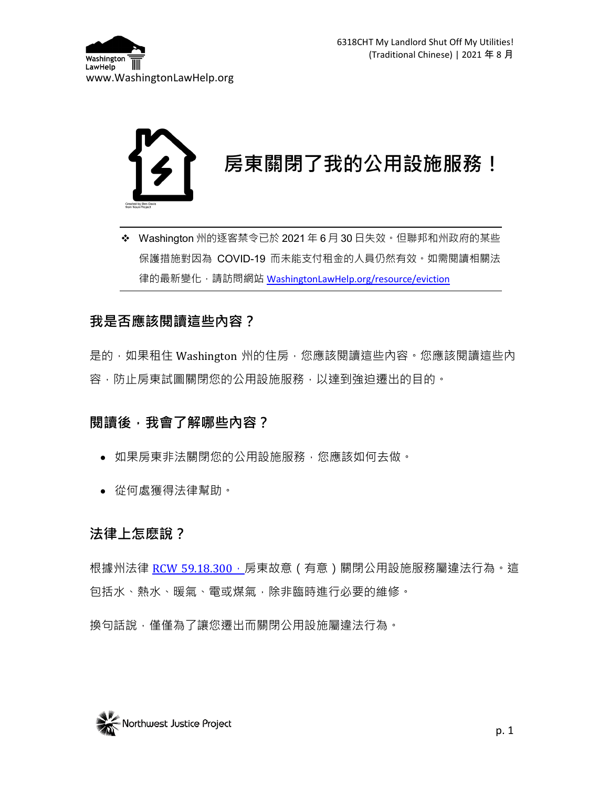



 Washington 州的逐客禁令已於 2021 年 6 月 30 日失效。但聯邦和州政府的某些 保護措施對因為 COVID-19 而未能支付租金的人員仍然有效。如需閱讀相關法 律的最新變化,請訪問網站 [WashingtonLawHelp.org/resource/eviction](https://www.washingtonlawhelp.org/resource/eviction?lang=ZH)

# **我是否應該閱讀這些內容?**

是的,如果租住 Washington 州的住房,您應該閱讀這些內容。您應該閱讀這些內 容,防止房東試圖關閉您的公用設施服務,以達到強迫遷出的目的。

## **閱讀後,我會了解哪些內容?**

- 如果房東非法關閉您的公用設施服務,您應該如何去做。
- 從何處獲得法律幫助。

## **法律上怎麽說?**

根據州法律 [RCW 59.18.300](https://app.leg.wa.gov/RCW/default.aspx?cite=59.18.300),房東故意 ( 有意 ) 關閉公用設施服務屬違法行為。這 包括水、熱水、暖氣、電或煤氣,除非臨時進行必要的維修。

換句話說,僅僅為了讓您遷出而關閉公用設施屬違法行為。

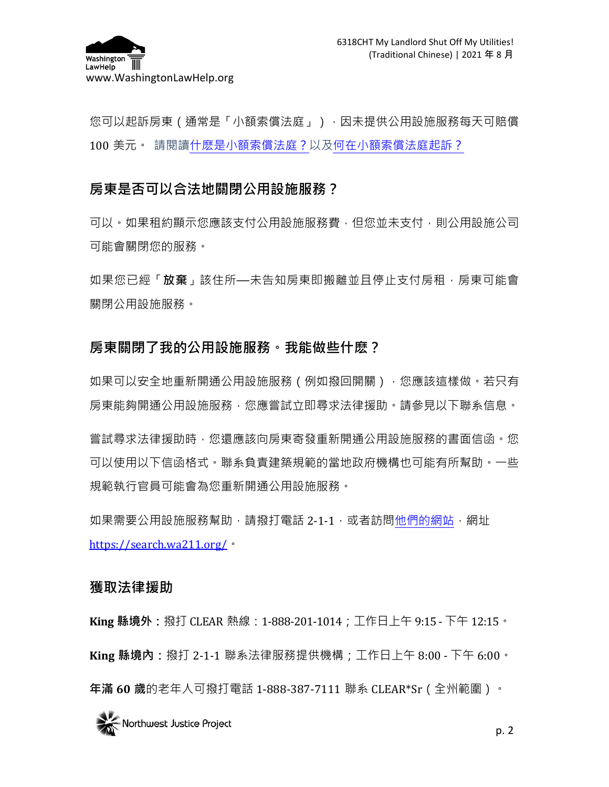

您可以起訴房東(通常是「小額索償法庭」),因未提供公用設施服務每天可賠償 100 美元。 請閱[讀什麽是小額索償法庭?以](https://www.washingtonlawhelp.org/resource/what-is-small-claims-court?ref=poeDP)[及何在小額索償法庭起訴?](https://www.washingtonlawhelp.org/resource/small-claims-court?ref=poeDP)

# **房東是否可以合法地關閉公用設施服務?**

可以。如果租約顯示您應該支付公用設施服務費,但您並未支付,則公用設施公司 可能會關閉您的服務。

如果您已經「**放棄**」該住所—未告知房東即搬離並且停止支付房租,房東可能會 關閉公用設施服務。

## **房東關閉了我的公用設施服務。我能做些什麽?**

如果可以安全地重新開通公用設施服務 ( 例如撥回開關 ) ,您應該這樣做。若只有 房東能夠開通公用設施服務,您應嘗試立即尋求法律援助。請參見以下聯系信息。

嘗試尋求法律援助時,您還應該向房東寄發重新開通公用設施服務的書面信函。您 可以使用以下信函格式。聯系負責建築規範的當地政府機構也可能有所幫助。一些 規範執行官員可能會為您重新開通公用設施服務。

如果需要公用設施服務幫助,請撥打電話 2-1-1,或者訪[問他們的網站,](https://search.wa211.org/)網址 <https://search.wa211.org/>。

#### **獲取法律援助**

**King 縣境外:**撥打 CLEAR 熱線:1-888-201-1014;工作日上午 9:15 - 下午 12:15。 **King 縣境內:**撥打 2-1-1 聯系法律服務提供機構;工作日上午 8:00 - 下午 6:00。 **年滿 60 歲**的老年人可撥打電話 1-888-387-7111 聯系 CLEAR\*Sr(全州範圍)。

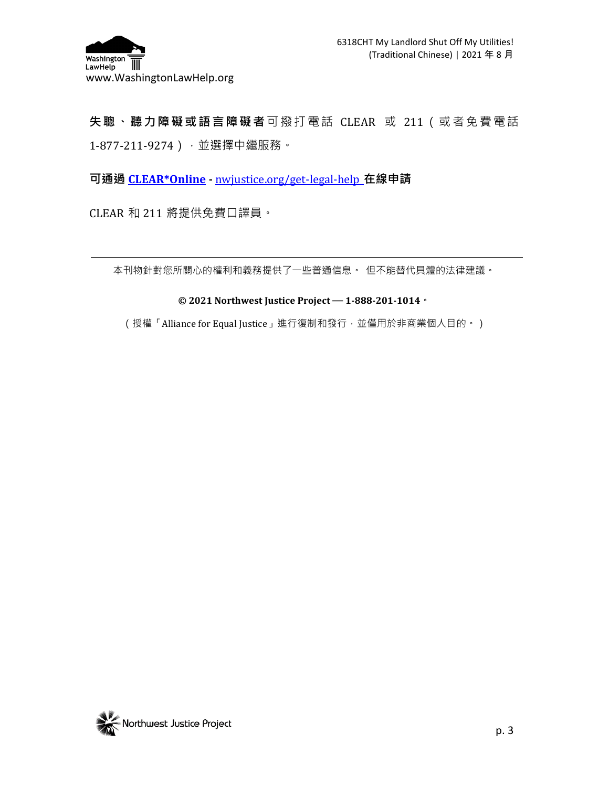

**失聰、聽力障礙或語言障礙者**可撥打電話 CLEAR 或 211(或者免費電話 1-877-211-9274),並選擇中繼服務。

**可通過 [CLEAR\\*Online](http://nwjustice.org/get-legal-help) -** [nwjustice.org/get-legal-help](http://nwjustice.org/get-legal-help) **在線申請**

CLEAR 和 211 將提供免費口譯員。

本刊物針對您所關心的權利和義務提供了一些普通信息。 但不能替代具體的法律建議。

#### **© 2021 Northwest Justice Project — 1-888-201-1014。**

(授權「Alliance for Equal Justice」進行復制和發行,並僅用於非商業個人目的。)

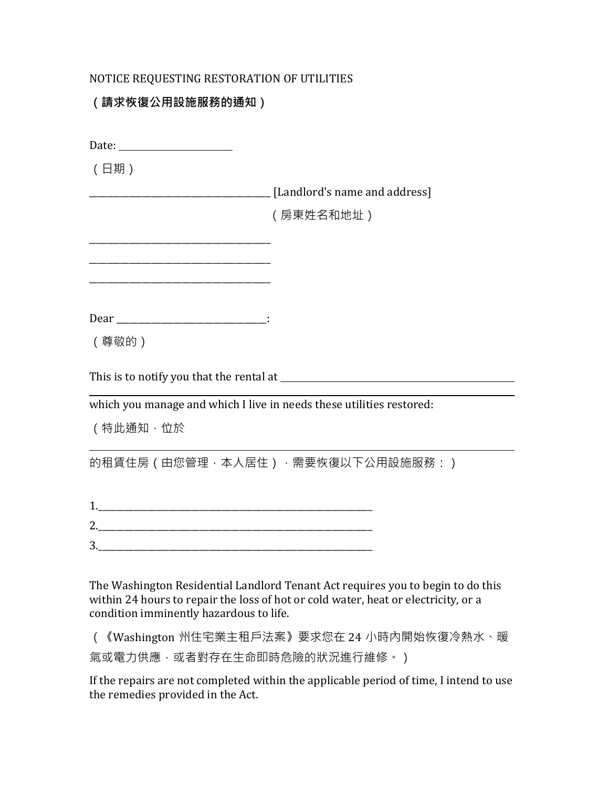#### NOTICE REQUESTING RESTORATION OF UTILITIES

### **(請求恢復公用設施服務的通知)**

| (日期)                                                                 |                                   |
|----------------------------------------------------------------------|-----------------------------------|
|                                                                      | [Landlord's name and address]     |
|                                                                      | (房東姓名和地址)                         |
|                                                                      |                                   |
|                                                                      |                                   |
|                                                                      |                                   |
|                                                                      |                                   |
| (尊敬的)                                                                |                                   |
|                                                                      |                                   |
| which you manage and which I live in needs these utilities restored: |                                   |
| (特此通知,位於                                                             |                                   |
|                                                                      | 的租賃住房 (由您管理,本人居住) ,需要恢復以下公用設施服務:) |
|                                                                      |                                   |
| <u>2.</u>                                                            |                                   |
|                                                                      |                                   |
|                                                                      |                                   |

The Washington Residential Landlord Tenant Act requires you to begin to do this within 24 hours to repair the loss of hot or cold water, heat or electricity, or a condition imminently hazardous to life.

(《Washington 州住宅業主租戶法案》要求您在 24 小時內開始恢復冷熱水、暖 氣或電力供應,或者對存在生命即時危險的狀況進行維修。)

If the repairs are not completed within the applicable period of time, I intend to use the remedies provided in the Act.